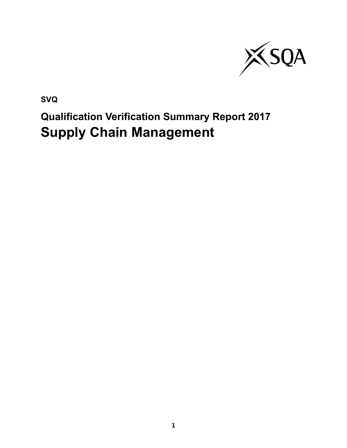

**SVQ**

# **Qualification Verification Summary Report 2017 Supply Chain Management**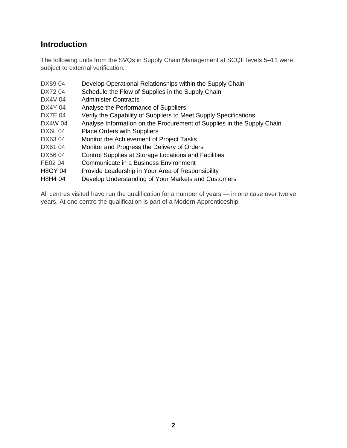## **Introduction**

The following units from the SVQs in Supply Chain Management at SCQF levels 5–11 were subject to external verification.

- DX59 04 Develop Operational Relationships within the Supply Chain
- DX72 04 Schedule the Flow of Supplies in the Supply Chain
- DX4V 04 Administer Contracts
- DX4Y 04 Analyse the Performance of Suppliers
- DX7E 04 Verify the Capability of Suppliers to Meet Supply Specifications
- DX4W 04 Analyse Information on the Procurement of Supplies in the Supply Chain
- DX6L 04 Place Orders with Suppliers
- DX63 04 Monitor the Achievement of Project Tasks
- DX61 04 Monitor and Progress the Delivery of Orders
- DX56 04 Control Supplies at Storage Locations and Facilities
- FE02 04 Communicate in a Business Environment
- H8GY 04 Provide Leadership in Your Area of Responsibility
- H8H4 04 Develop Understanding of Your Markets and Customers

All centres visited have run the qualification for a number of years — in one case over twelve years. At one centre the qualification is part of a Modern Apprenticeship.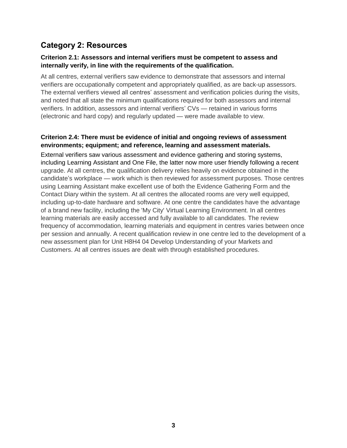## **Category 2: Resources**

#### **Criterion 2.1: Assessors and internal verifiers must be competent to assess and internally verify, in line with the requirements of the qualification.**

At all centres, external verifiers saw evidence to demonstrate that assessors and internal verifiers are occupationally competent and appropriately qualified, as are back-up assessors. The external verifiers viewed all centres' assessment and verification policies during the visits, and noted that all state the minimum qualifications required for both assessors and internal verifiers. In addition, assessors and internal verifiers' CVs — retained in various forms (electronic and hard copy) and regularly updated — were made available to view.

#### **Criterion 2.4: There must be evidence of initial and ongoing reviews of assessment environments; equipment; and reference, learning and assessment materials.**

External verifiers saw various assessment and evidence gathering and storing systems, including Learning Assistant and One File, the latter now more user friendly following a recent upgrade. At all centres, the qualification delivery relies heavily on evidence obtained in the candidate's workplace — work which is then reviewed for assessment purposes. Those centres using Learning Assistant make excellent use of both the Evidence Gathering Form and the Contact Diary within the system. At all centres the allocated rooms are very well equipped, including up-to-date hardware and software. At one centre the candidates have the advantage of a brand new facility, including the 'My City' Virtual Learning Environment. In all centres learning materials are easily accessed and fully available to all candidates. The review frequency of accommodation, learning materials and equipment in centres varies between once per session and annually. A recent qualification review in one centre led to the development of a new assessment plan for Unit H8H4 04 Develop Understanding of your Markets and Customers. At all centres issues are dealt with through established procedures.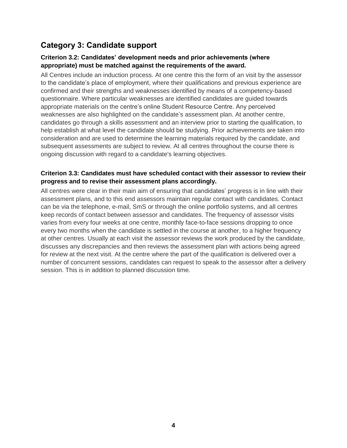# **Category 3: Candidate support**

#### **Criterion 3.2: Candidates' development needs and prior achievements (where appropriate) must be matched against the requirements of the award.**

All Centres include an induction process. At one centre this the form of an visit by the assessor to the candidate's place of employment, where their qualifications and previous experience are confirmed and their strengths and weaknesses identified by means of a competency-based questionnaire. Where particular weaknesses are identified candidates are guided towards appropriate materials on the centre's online Student Resource Centre. Any perceived weaknesses are also highlighted on the candidate's assessment plan. At another centre, candidates go through a skills assessment and an interview prior to starting the qualification, to help establish at what level the candidate should be studying. Prior achievements are taken into consideration and are used to determine the learning materials required by the candidate, and subsequent assessments are subject to review. At all centres throughout the course there is ongoing discussion with regard to a candidate's learning objectives.

#### **Criterion 3.3: Candidates must have scheduled contact with their assessor to review their progress and to revise their assessment plans accordingly.**

All centres were clear in their main aim of ensuring that candidates' progress is in line with their assessment plans, and to this end assessors maintain regular contact with candidates. Contact can be via the telephone, e-mail, SmS or through the online portfolio systems, and all centres keep records of contact between assessor and candidates. The frequency of assessor visits varies from every four weeks at one centre, monthly face-to-face sessions dropping to once every two months when the candidate is settled in the course at another, to a higher frequency at other centres. Usually at each visit the assessor reviews the work produced by the candidate, discusses any discrepancies and then reviews the assessment plan with actions being agreed for review at the next visit. At the centre where the part of the qualification is delivered over a number of concurrent sessions, candidates can request to speak to the assessor after a delivery session. This is in addition to planned discussion time.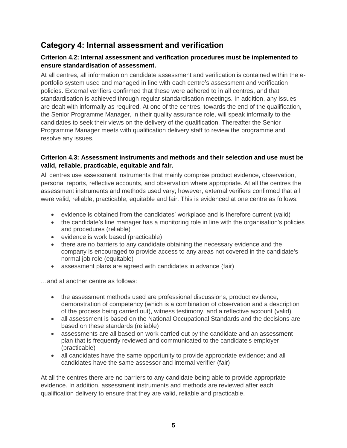## **Category 4: Internal assessment and verification**

#### **Criterion 4.2: Internal assessment and verification procedures must be implemented to ensure standardisation of assessment.**

At all centres, all information on candidate assessment and verification is contained within the eportfolio system used and managed in line with each centre's assessment and verification policies. External verifiers confirmed that these were adhered to in all centres, and that standardisation is achieved through regular standardisation meetings. In addition, any issues are dealt with informally as required. At one of the centres, towards the end of the qualification, the Senior Programme Manager, in their quality assurance role, will speak informally to the candidates to seek their views on the delivery of the qualification. Thereafter the Senior Programme Manager meets with qualification delivery staff to review the programme and resolve any issues.

#### **Criterion 4.3: Assessment instruments and methods and their selection and use must be valid, reliable, practicable, equitable and fair.**

All centres use assessment instruments that mainly comprise product evidence, observation, personal reports, reflective accounts, and observation where appropriate. At all the centres the assessment instruments and methods used vary; however, external verifiers confirmed that all were valid, reliable, practicable, equitable and fair. This is evidenced at one centre as follows:

- evidence is obtained from the candidates' workplace and is therefore current (valid)
- the candidate's line manager has a monitoring role in line with the organisation's policies and procedures (reliable)
- evidence is work based (practicable)
- there are no barriers to any candidate obtaining the necessary evidence and the company is encouraged to provide access to any areas not covered in the candidate's normal job role (equitable)
- assessment plans are agreed with candidates in advance (fair)

…and at another centre as follows:

- the assessment methods used are professional discussions, product evidence, demonstration of competency (which is a combination of observation and a description of the process being carried out), witness testimony, and a reflective account (valid)
- all assessment is based on the National Occupational Standards and the decisions are based on these standards (reliable)
- assessments are all based on work carried out by the candidate and an assessment plan that is frequently reviewed and communicated to the candidate's employer (practicable)
- all candidates have the same opportunity to provide appropriate evidence; and all candidates have the same assessor and internal verifier (fair)

At all the centres there are no barriers to any candidate being able to provide appropriate evidence. In addition, assessment instruments and methods are reviewed after each qualification delivery to ensure that they are valid, reliable and practicable.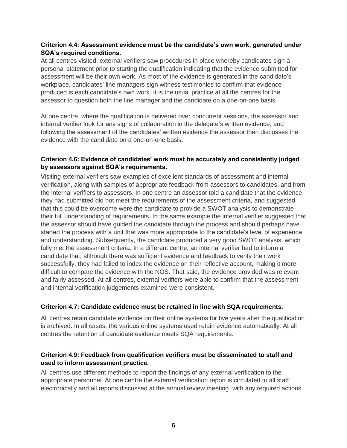#### **Criterion 4.4: Assessment evidence must be the candidate's own work, generated under SQA's required conditions.**

At all centres visited, external verifiers saw procedures in place whereby candidates sign a personal statement prior to starting the qualification indicating that the evidence submitted for assessment will be their own work. As most of the evidence is generated in the candidate's workplace, candidates' line managers sign witness testimonies to confirm that evidence produced is each candidate's own work. It is the usual practice at all the centres for the assessor to question both the line manager and the candidate on a one-on-one basis.

At one centre, where the qualification is delivered over concurrent sessions, the assessor and internal verifier look for any signs of collaboration in the delegate's written evidence, and following the assessment of the candidates' written evidence the assessor then discusses the evidence with the candidate on a one-on-one basis.

#### **Criterion 4.6: Evidence of candidates' work must be accurately and consistently judged by assessors against SQA's requirements.**

Visiting external verifiers saw examples of excellent standards of assessment and internal verification, along with samples of appropriate feedback from assessors to candidates, and from the internal verifiers to assessors. In one centre an assessor told a candidate that the evidence they had submitted did not meet the requirements of the assessment criteria, and suggested that this could be overcome were the candidate to provide a SWOT analysis to demonstrate their full understanding of requirements. In the same example the internal verifier suggested that the assessor should have guided the candidate through the process and should perhaps have started the process with a unit that was more appropriate to the candidate's level of experience and understanding. Subsequently, the candidate produced a very good SWOT analysis, which fully met the assessment criteria. In a different centre, an internal verifier had to inform a candidate that, although there was sufficient evidence and feedback to verify their work successfully, they had failed to index the evidence on their reflective account, making it more difficult to compare the evidence with the NOS. That said, the evidence provided was relevant and fairly assessed. At all centres, external verifiers were able to confirm that the assessment and internal verification judgements examined were consistent.

#### **Criterion 4.7: Candidate evidence must be retained in line with SQA requirements.**

All centres retain candidate evidence on their online systems for five years after the qualification is archived. In all cases, the various online systems used retain evidence automatically. At all centres the retention of candidate evidence meets SQA requirements.

#### **Criterion 4.9: Feedback from qualification verifiers must be disseminated to staff and used to inform assessment practice.**

All centres use different methods to report the findings of any external verification to the appropriate personnel. At one centre the external verification report is circulated to all staff electronically and all reports discussed at the annual review meeting, with any required actions